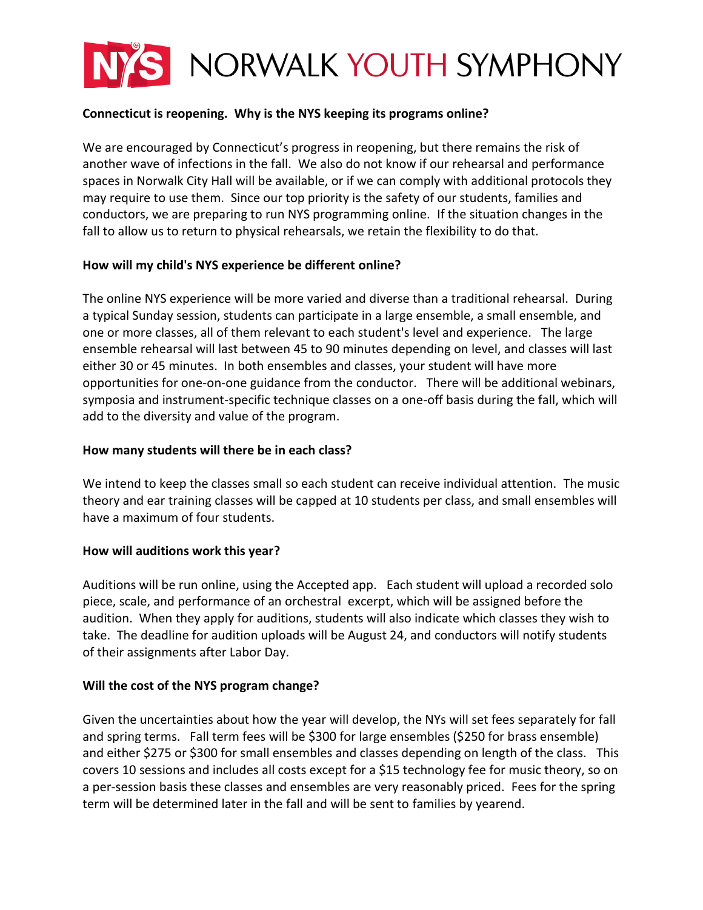

# **Connecticut is reopening. Why is the NYS keeping its programs online?**

We are encouraged by Connecticut's progress in reopening, but there remains the risk of another wave of infections in the fall. We also do not know if our rehearsal and performance spaces in Norwalk City Hall will be available, or if we can comply with additional protocols they may require to use them. Since our top priority is the safety of our students, families and conductors, we are preparing to run NYS programming online. If the situation changes in the fall to allow us to return to physical rehearsals, we retain the flexibility to do that.

## **How will my child's NYS experience be different online?**

The online NYS experience will be more varied and diverse than a traditional rehearsal. During a typical Sunday session, students can participate in a large ensemble, a small ensemble, and one or more classes, all of them relevant to each student's level and experience. The large ensemble rehearsal will last between 45 to 90 minutes depending on level, and classes will last either 30 or 45 minutes. In both ensembles and classes, your student will have more opportunities for one-on-one guidance from the conductor. There will be additional webinars, symposia and instrument-specific technique classes on a one-off basis during the fall, which will add to the diversity and value of the program.

# **How many students will there be in each class?**

We intend to keep the classes small so each student can receive individual attention. The music theory and ear training classes will be capped at 10 students per class, and small ensembles will have a maximum of four students.

## **How will auditions work this year?**

Auditions will be run online, using the Accepted app. Each student will upload a recorded solo piece, scale, and performance of an orchestral excerpt, which will be assigned before the audition. When they apply for auditions, students will also indicate which classes they wish to take. The deadline for audition uploads will be August 24, and conductors will notify students of their assignments after Labor Day.

## **Will the cost of the NYS program change?**

Given the uncertainties about how the year will develop, the NYs will set fees separately for fall and spring terms. Fall term fees will be \$300 for large ensembles (\$250 for brass ensemble) and either \$275 or \$300 for small ensembles and classes depending on length of the class. This covers 10 sessions and includes all costs except for a \$15 technology fee for music theory, so on a per-session basis these classes and ensembles are very reasonably priced. Fees for the spring term will be determined later in the fall and will be sent to families by yearend.